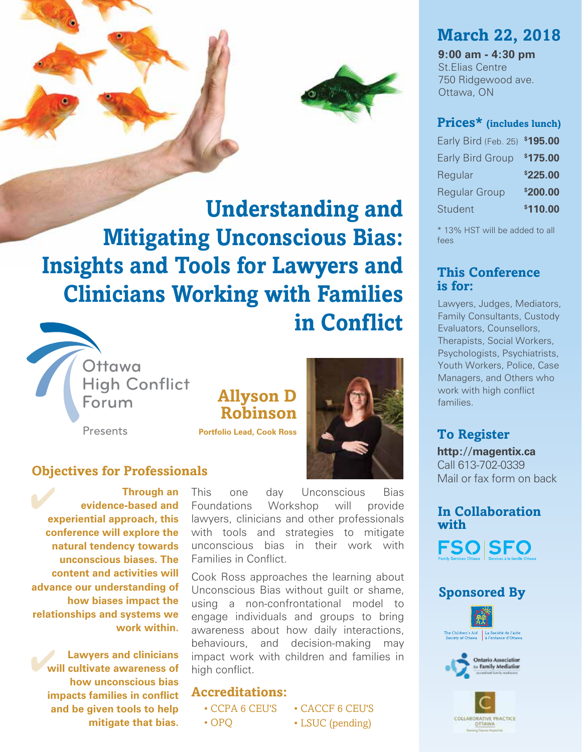

**Understanding and Mitigating Unconscious Bias: Insights and Tools for Lawyers and Clinicians Working with Families in Conflict**



# **Allyson D Robinson**

**Portfolio Lead, Cook Ross**



### **Objectives for Professionals**

 **Through an evidence-based and experiential approach, this conference will explore the natural tendency towards unconscious biases. The content and activities will advance our understanding of how biases impact the relationships and systems we work within.** ✔

**Lawyers and clinicians WE UNIVERSE AND MODE CONSERVANT CONTROL CONTROL CONTROVERENCE AND MODE CONTROVERENCE AND REPORT OF A LIBER SH how unconscious bias impacts families in conflict and be given tools to help mitigate that bias.** 

This one day Unconscious Bias Foundations Workshop will provide lawyers, clinicians and other professionals with tools and strategies to mitigate unconscious bias in their work with Families in Conflict.

Cook Ross approaches the learning about Unconscious Bias without guilt or shame, using a non-confrontational model to engage individuals and groups to bring awareness about how daily interactions, behaviours, and decision-making may impact work with children and families in high conflict.

#### **Accreditations:**

• CCPA 6 CEU'S

- OPQ
- CACCF 6 CEU'S • LSUC (pending)

# **March 22, 2018**

**9:00 am - 4:30 pm** St.Elias Centre 750 Ridgewood ave. Ottawa, ON

#### **Prices\* (includes lunch)**

| Early Bird (Feb. 25)    | \$195.00 |
|-------------------------|----------|
| <b>Early Bird Group</b> | \$175.00 |
| Regular                 | \$225.00 |
| <b>Regular Group</b>    | \$200.00 |
| <b>Student</b>          | \$110.00 |

\* 13% HST will be added to all fees

### **This Conference is for:**

Lawyers, Judges, Mediators, Family Consultants, Custody Evaluators, Counsellors, Therapists, Social Workers, Psychologists, Psychiatrists, Youth Workers, Police, Case Managers, and Others who work with high conflict families.

### **To Register**

**http://magentix.ca** Call 613-702-0339 Mail or fax form on back

### **In Collaboration with**